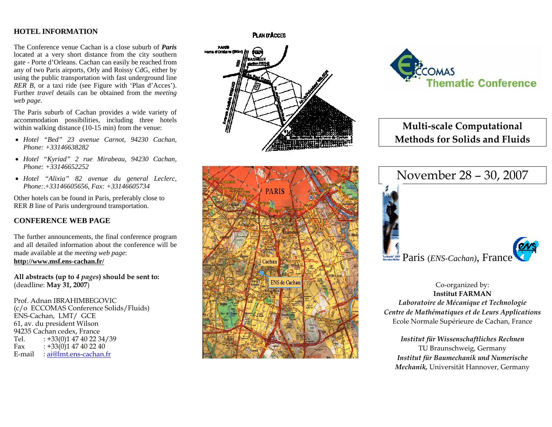# **HOTEL INFORMATION**

The Conference venue Cachan is a close suburb of *Paris*located at a very short distance from the city southern gate - Porte d'Orleans. Cachan can easily be reached from any of t wo Paris airports, Orl y and Roissy C dG, either by using t he public transportation with fast underground line *RER B,* or a taxi ride (see Figure with 'Plan d'Acces'). Further *travel* details can be obtained from the *meeting web page*.

The Paris suburb of Cachan provides a wide variet y of accommodation possibilities, including three hotels within wal king distance (10-15 min) from t he venue:

- *Hotel "Bed" 23 avenue Carnot, 94230 Cachan, Phone: +33146638282*
- *Hotel "Kyriad" 2 rue Mirabeau, 94230 Cachan, Phone: +33146652252*
- *Hotel "Alixia" 82 avenue du general Leclerc, Phone:*.+*33146605656*, *Fax: +33146605734*

Other hotels can be found i n Paris, preferabl y close to RER *B* line of Paris underground transportation.

# **CONFERENCE WEB PAGE**

The further announcements, t he final conference program and all detailed information about the conference will be made available at the *meeting web page*: **http://www.msf.ens-cacha n.fr/**

**All abstracts (up to** *4 pages***) should be sent to:**  (deadline: **May 31, 2007**)

Prof. Adnan IBRAHIMBEGOVIC (c/o ECCOMAS Conference Solids/Fluids) ENS-Cachan, LMT/ GCE 61, av. du president Wilson 94235 Cachan cedex, France Tel.  $: +33(0)147402234/39$ Fax  $: +33(0)147402240$ E-mail : <u>ai@lmt.ens-cachan.fr</u>

### **PLAN D'ACCES**







**Multi‐scale Computational Methods for Solids and Fluids**



Co-organized by: **Institut FARMAN** *Laboratoire de Mécanique et Technologie Centre de Mathématiques et de Leurs Applications* Ecole Normale Supérieure de Cacha n, France

*Institut für Wissenschaftliches Rechnen* TU Braunschweig, Germa n y *Institut für Baumechanik und Numerische Mechanik,* Universität Hannover*,* Germany